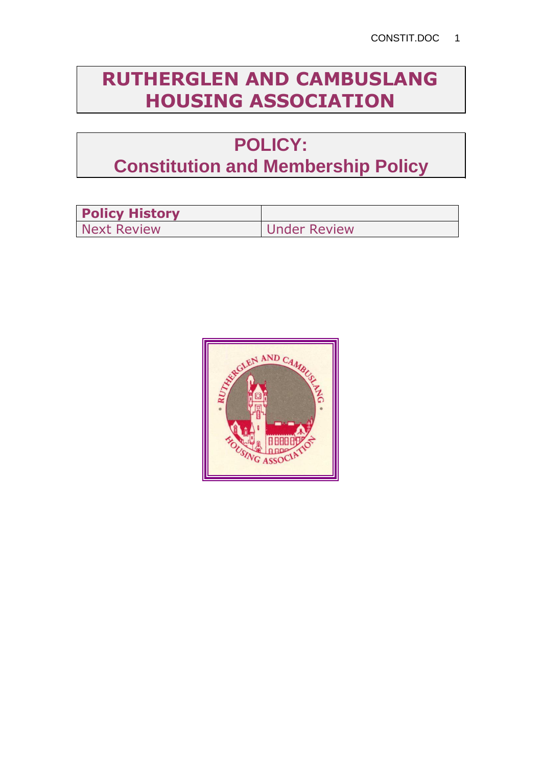# **RUTHERGLEN AND CAMBUSLANG HOUSING ASSOCIATION**

# **POLICY: Constitution and Membership Policy**

| <b>Policy History</b> |                     |
|-----------------------|---------------------|
| <b>Next Review</b>    | <b>Under Review</b> |

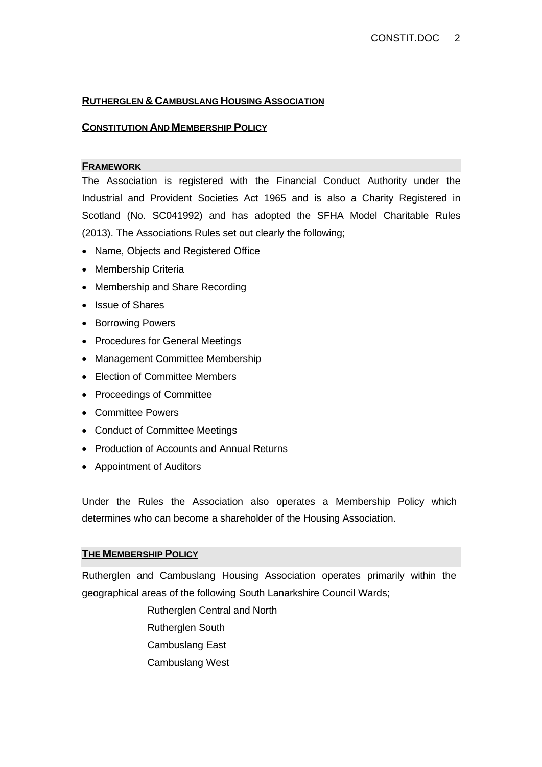## **RUTHERGLEN & CAMBUSLANG HOUSING ASSOCIATION**

## **CONSTITUTION AND MEMBERSHIP POLICY**

### **FRAMEWORK**

The Association is registered with the Financial Conduct Authority under the Industrial and Provident Societies Act 1965 and is also a Charity Registered in Scotland (No. SC041992) and has adopted the SFHA Model Charitable Rules (2013). The Associations Rules set out clearly the following;

- Name, Objects and Registered Office
- Membership Criteria
- Membership and Share Recording
- Issue of Shares
- Borrowing Powers
- Procedures for General Meetings
- Management Committee Membership
- Election of Committee Members
- Proceedings of Committee
- Committee Powers
- Conduct of Committee Meetings
- Production of Accounts and Annual Returns
- Appointment of Auditors

Under the Rules the Association also operates a Membership Policy which determines who can become a shareholder of the Housing Association.

### **THE MEMBERSHIP POLICY**

Rutherglen and Cambuslang Housing Association operates primarily within the geographical areas of the following South Lanarkshire Council Wards;

> Rutherglen Central and North Rutherglen South Cambuslang East Cambuslang West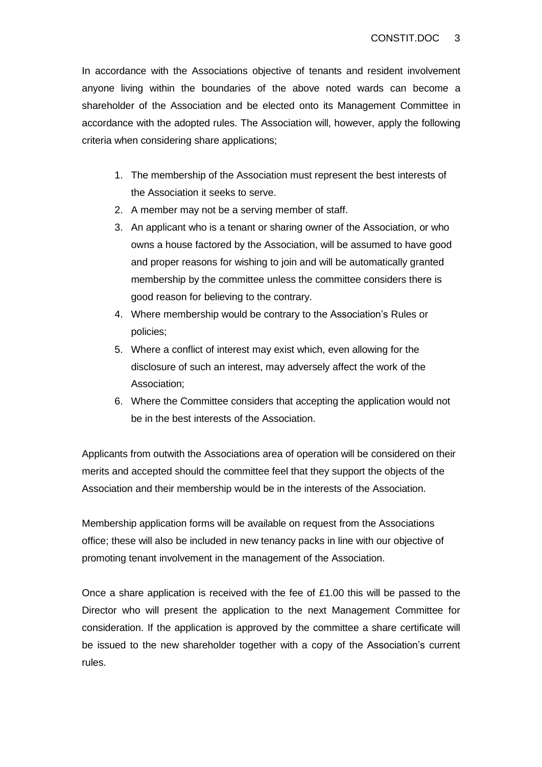In accordance with the Associations objective of tenants and resident involvement anyone living within the boundaries of the above noted wards can become a shareholder of the Association and be elected onto its Management Committee in accordance with the adopted rules. The Association will, however, apply the following criteria when considering share applications;

- 1. The membership of the Association must represent the best interests of the Association it seeks to serve.
- 2. A member may not be a serving member of staff.
- 3. An applicant who is a tenant or sharing owner of the Association, or who owns a house factored by the Association, will be assumed to have good and proper reasons for wishing to join and will be automatically granted membership by the committee unless the committee considers there is good reason for believing to the contrary.
- 4. Where membership would be contrary to the Association's Rules or policies;
- 5. Where a conflict of interest may exist which, even allowing for the disclosure of such an interest, may adversely affect the work of the Association;
- 6. Where the Committee considers that accepting the application would not be in the best interests of the Association.

Applicants from outwith the Associations area of operation will be considered on their merits and accepted should the committee feel that they support the objects of the Association and their membership would be in the interests of the Association.

Membership application forms will be available on request from the Associations office; these will also be included in new tenancy packs in line with our objective of promoting tenant involvement in the management of the Association.

Once a share application is received with the fee of £1.00 this will be passed to the Director who will present the application to the next Management Committee for consideration. If the application is approved by the committee a share certificate will be issued to the new shareholder together with a copy of the Association's current rules.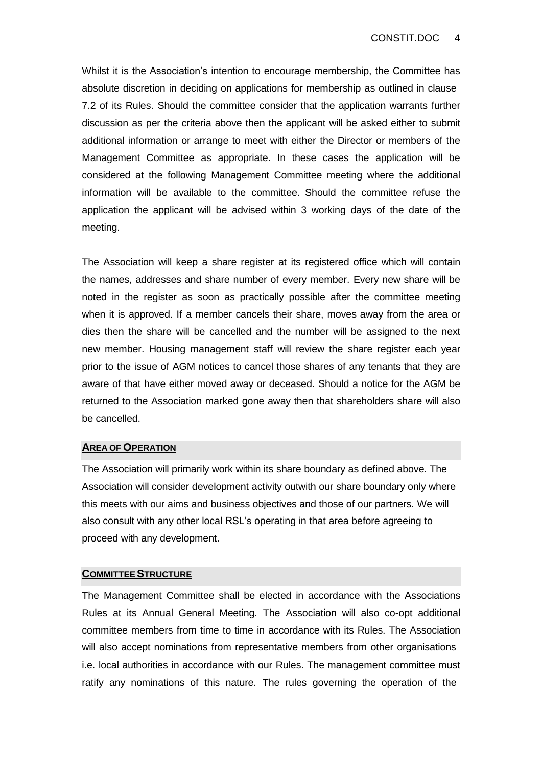Whilst it is the Association's intention to encourage membership, the Committee has absolute discretion in deciding on applications for membership as outlined in clause 7.2 of its Rules. Should the committee consider that the application warrants further discussion as per the criteria above then the applicant will be asked either to submit additional information or arrange to meet with either the Director or members of the Management Committee as appropriate. In these cases the application will be considered at the following Management Committee meeting where the additional information will be available to the committee. Should the committee refuse the application the applicant will be advised within 3 working days of the date of the meeting.

The Association will keep a share register at its registered office which will contain the names, addresses and share number of every member. Every new share will be noted in the register as soon as practically possible after the committee meeting when it is approved. If a member cancels their share, moves away from the area or dies then the share will be cancelled and the number will be assigned to the next new member. Housing management staff will review the share register each year prior to the issue of AGM notices to cancel those shares of any tenants that they are aware of that have either moved away or deceased. Should a notice for the AGM be returned to the Association marked gone away then that shareholders share will also be cancelled.

#### **AREA OF OPERATION**

The Association will primarily work within its share boundary as defined above. The Association will consider development activity outwith our share boundary only where this meets with our aims and business objectives and those of our partners. We will also consult with any other local RSL's operating in that area before agreeing to proceed with any development.

#### **COMMITTEE STRUCTURE**

The Management Committee shall be elected in accordance with the Associations Rules at its Annual General Meeting. The Association will also co-opt additional committee members from time to time in accordance with its Rules. The Association will also accept nominations from representative members from other organisations i.e. local authorities in accordance with our Rules. The management committee must ratify any nominations of this nature. The rules governing the operation of the